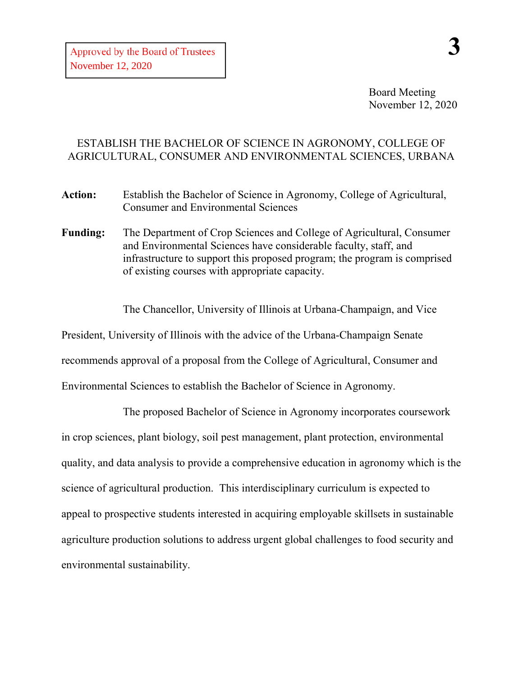## ESTABLISH THE BACHELOR OF SCIENCE IN AGRONOMY, COLLEGE OF AGRICULTURAL, CONSUMER AND ENVIRONMENTAL SCIENCES, URBANA

**Action:** Establish the Bachelor of Science in Agronomy, College of Agricultural, Consumer and Environmental Sciences

**Funding:** The Department of Crop Sciences and College of Agricultural, Consumer and Environmental Sciences have considerable faculty, staff, and infrastructure to support this proposed program; the program is comprised of existing courses with appropriate capacity.

The Chancellor, University of Illinois at Urbana-Champaign, and Vice

President, University of Illinois with the advice of the Urbana-Champaign Senate

recommends approval of a proposal from the College of Agricultural, Consumer and

Environmental Sciences to establish the Bachelor of Science in Agronomy.

The proposed Bachelor of Science in Agronomy incorporates coursework in crop sciences, plant biology, soil pest management, plant protection, environmental quality, and data analysis to provide a comprehensive education in agronomy which is the science of agricultural production. This interdisciplinary curriculum is expected to appeal to prospective students interested in acquiring employable skillsets in sustainable agriculture production solutions to address urgent global challenges to food security and environmental sustainability.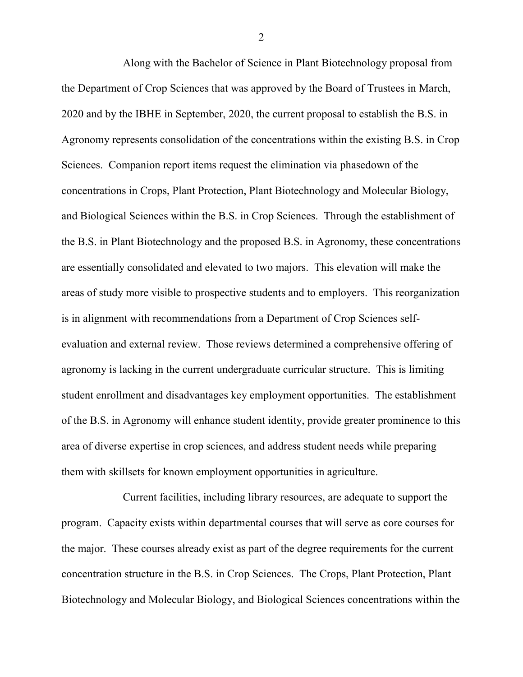Along with the Bachelor of Science in Plant Biotechnology proposal from the Department of Crop Sciences that was approved by the Board of Trustees in March, 2020 and by the IBHE in September, 2020, the current proposal to establish the B.S. in Agronomy represents consolidation of the concentrations within the existing B.S. in Crop Sciences. Companion report items request the elimination via phasedown of the concentrations in Crops, Plant Protection, Plant Biotechnology and Molecular Biology, and Biological Sciences within the B.S. in Crop Sciences. Through the establishment of the B.S. in Plant Biotechnology and the proposed B.S. in Agronomy, these concentrations are essentially consolidated and elevated to two majors. This elevation will make the areas of study more visible to prospective students and to employers. This reorganization is in alignment with recommendations from a Department of Crop Sciences selfevaluation and external review. Those reviews determined a comprehensive offering of agronomy is lacking in the current undergraduate curricular structure. This is limiting student enrollment and disadvantages key employment opportunities. The establishment of the B.S. in Agronomy will enhance student identity, provide greater prominence to this area of diverse expertise in crop sciences, and address student needs while preparing them with skillsets for known employment opportunities in agriculture.

Current facilities, including library resources, are adequate to support the program. Capacity exists within departmental courses that will serve as core courses for the major. These courses already exist as part of the degree requirements for the current concentration structure in the B.S. in Crop Sciences. The Crops, Plant Protection, Plant Biotechnology and Molecular Biology, and Biological Sciences concentrations within the

2